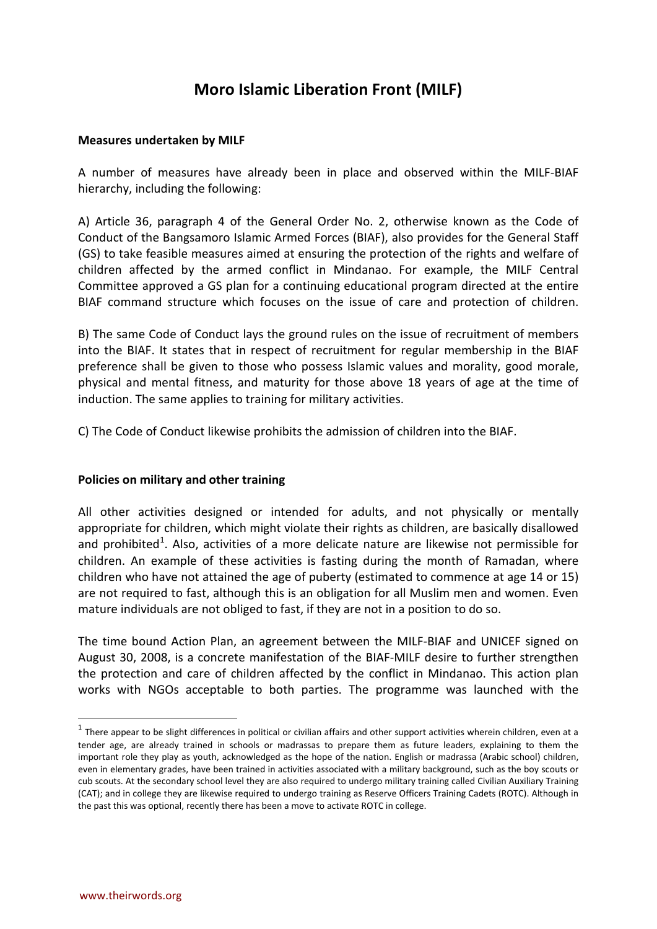# **Moro Islamic Liberation Front (MILF)**

#### **Measures undertaken by MILF**

A number of measures have already been in place and observed within the MILF-BIAF hierarchy, including the following:

A) Article 36, paragraph 4 of the General Order No. 2, otherwise known as the Code of Conduct of the Bangsamoro Islamic Armed Forces (BIAF), also provides for the General Staff (GS) to take feasible measures aimed at ensuring the protection of the rights and welfare of children affected by the armed conflict in Mindanao. For example, the MILF Central Committee approved a GS plan for a continuing educational program directed at the entire BIAF command structure which focuses on the issue of care and protection of children.

B) The same Code of Conduct lays the ground rules on the issue of recruitment of members into the BIAF. It states that in respect of recruitment for regular membership in the BIAF preference shall be given to those who possess Islamic values and morality, good morale, physical and mental fitness, and maturity for those above 18 years of age at the time of induction. The same applies to training for military activities.

C) The Code of Conduct likewise prohibits the admission of children into the BIAF.

## **Policies on military and other training**

All other activities designed or intended for adults, and not physically or mentally appropriate for children, which might violate their rights as children, are basically disallowed and prohibited<sup>[1](#page-0-0)</sup>. Also, activities of a more delicate nature are likewise not permissible for children. An example of these activities is fasting during the month of Ramadan, where children who have not attained the age of puberty (estimated to commence at age 14 or 15) are not required to fast, although this is an obligation for all Muslim men and women. Even mature individuals are not obliged to fast, if they are not in a position to do so.

The time bound Action Plan, an agreement between the MILF-BIAF and UNICEF signed on August 30, 2008, is a concrete manifestation of the BIAF-MILF desire to further strengthen the protection and care of children affected by the conflict in Mindanao. This action plan works with NGOs acceptable to both parties. The programme was launched with the

 $\overline{a}$ 

<span id="page-0-0"></span> $1$  There appear to be slight differences in political or civilian affairs and other support activities wherein children, even at a tender age, are already trained in schools or madrassas to prepare them as future leaders, explaining to them the important role they play as youth, acknowledged as the hope of the nation. English or madrassa (Arabic school) children, even in elementary grades, have been trained in activities associated with a military background, such as the boy scouts or cub scouts. At the secondary school level they are also required to undergo military training called Civilian Auxiliary Training (CAT); and in college they are likewise required to undergo training as Reserve Officers Training Cadets (ROTC). Although in the past this was optional, recently there has been a move to activate ROTC in college.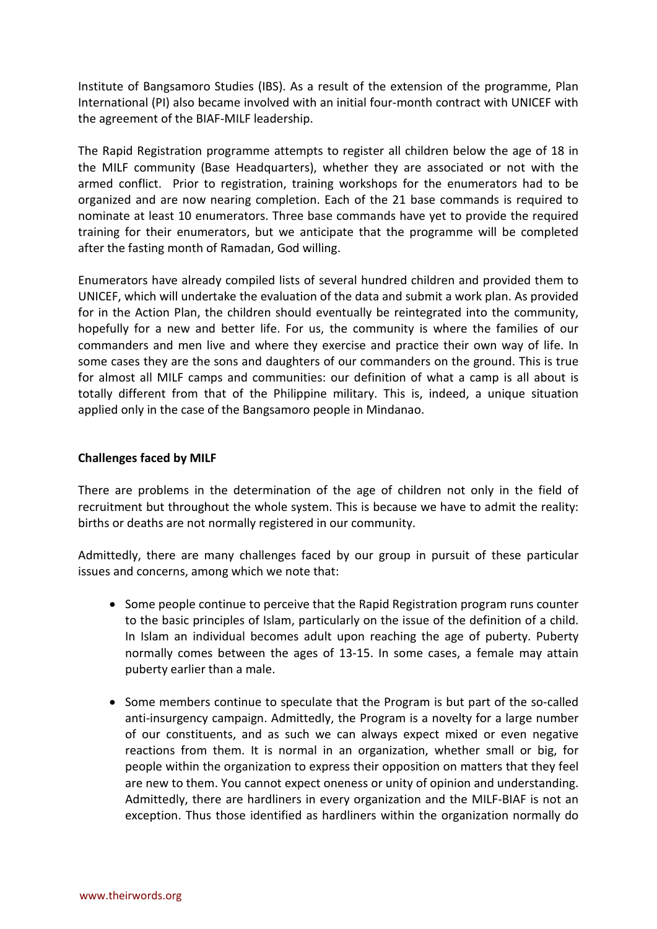Institute of Bangsamoro Studies (IBS). As a result of the extension of the programme, Plan International (PI) also became involved with an initial four-month contract with UNICEF with the agreement of the BIAF-MILF leadership.

The Rapid Registration programme attempts to register all children below the age of 18 in the MILF community (Base Headquarters), whether they are associated or not with the armed conflict. Prior to registration, training workshops for the enumerators had to be organized and are now nearing completion. Each of the 21 base commands is required to nominate at least 10 enumerators. Three base commands have yet to provide the required training for their enumerators, but we anticipate that the programme will be completed after the fasting month of Ramadan, God willing.

Enumerators have already compiled lists of several hundred children and provided them to UNICEF, which will undertake the evaluation of the data and submit a work plan. As provided for in the Action Plan, the children should eventually be reintegrated into the community, hopefully for a new and better life. For us, the community is where the families of our commanders and men live and where they exercise and practice their own way of life. In some cases they are the sons and daughters of our commanders on the ground. This is true for almost all MILF camps and communities: our definition of what a camp is all about is totally different from that of the Philippine military. This is, indeed, a unique situation applied only in the case of the Bangsamoro people in Mindanao.

## **Challenges faced by MILF**

There are problems in the determination of the age of children not only in the field of recruitment but throughout the whole system. This is because we have to admit the reality: births or deaths are not normally registered in our community.

Admittedly, there are many challenges faced by our group in pursuit of these particular issues and concerns, among which we note that:

- Some people continue to perceive that the Rapid Registration program runs counter to the basic principles of Islam, particularly on the issue of the definition of a child. In Islam an individual becomes adult upon reaching the age of puberty. Puberty normally comes between the ages of 13-15. In some cases, a female may attain puberty earlier than a male.
- Some members continue to speculate that the Program is but part of the so-called anti-insurgency campaign. Admittedly, the Program is a novelty for a large number of our constituents, and as such we can always expect mixed or even negative reactions from them. It is normal in an organization, whether small or big, for people within the organization to express their opposition on matters that they feel are new to them. You cannot expect oneness or unity of opinion and understanding. Admittedly, there are hardliners in every organization and the MILF-BIAF is not an exception. Thus those identified as hardliners within the organization normally do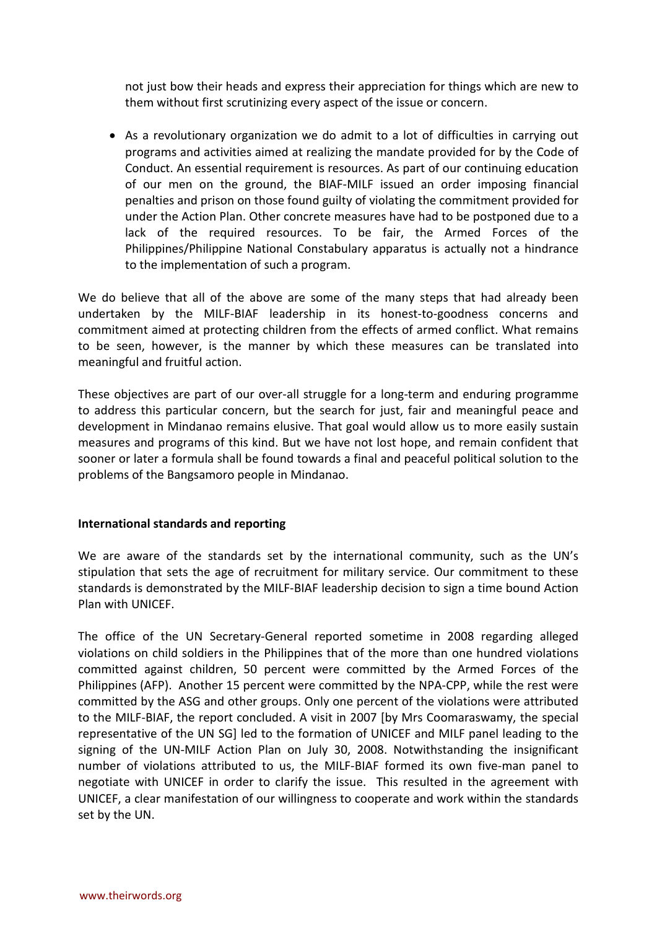not just bow their heads and express their appreciation for things which are new to them without first scrutinizing every aspect of the issue or concern.

• As a revolutionary organization we do admit to a lot of difficulties in carrying out programs and activities aimed at realizing the mandate provided for by the Code of Conduct. An essential requirement is resources. As part of our continuing education of our men on the ground, the BIAF-MILF issued an order imposing financial penalties and prison on those found guilty of violating the commitment provided for under the Action Plan. Other concrete measures have had to be postponed due to a lack of the required resources. To be fair, the Armed Forces of the Philippines/Philippine National Constabulary apparatus is actually not a hindrance to the implementation of such a program.

We do believe that all of the above are some of the many steps that had already been undertaken by the MILF-BIAF leadership in its honest-to-goodness concerns and commitment aimed at protecting children from the effects of armed conflict. What remains to be seen, however, is the manner by which these measures can be translated into meaningful and fruitful action.

These objectives are part of our over-all struggle for a long-term and enduring programme to address this particular concern, but the search for just, fair and meaningful peace and development in Mindanao remains elusive. That goal would allow us to more easily sustain measures and programs of this kind. But we have not lost hope, and remain confident that sooner or later a formula shall be found towards a final and peaceful political solution to the problems of the Bangsamoro people in Mindanao.

## **International standards and reporting**

We are aware of the standards set by the international community, such as the UN's stipulation that sets the age of recruitment for military service. Our commitment to these standards is demonstrated by the MILF-BIAF leadership decision to sign a time bound Action Plan with UNICEF.

The office of the UN Secretary-General reported sometime in 2008 regarding alleged violations on child soldiers in the Philippines that of the more than one hundred violations committed against children, 50 percent were committed by the Armed Forces of the Philippines (AFP). Another 15 percent were committed by the NPA-CPP, while the rest were committed by the ASG and other groups. Only one percent of the violations were attributed to the MILF-BIAF, the report concluded. A visit in 2007 [by Mrs Coomaraswamy, the special representative of the UN SG] led to the formation of UNICEF and MILF panel leading to the signing of the UN-MILF Action Plan on July 30, 2008. Notwithstanding the insignificant number of violations attributed to us, the MILF-BIAF formed its own five-man panel to negotiate with UNICEF in order to clarify the issue. This resulted in the agreement with UNICEF, a clear manifestation of our willingness to cooperate and work within the standards set by the UN.